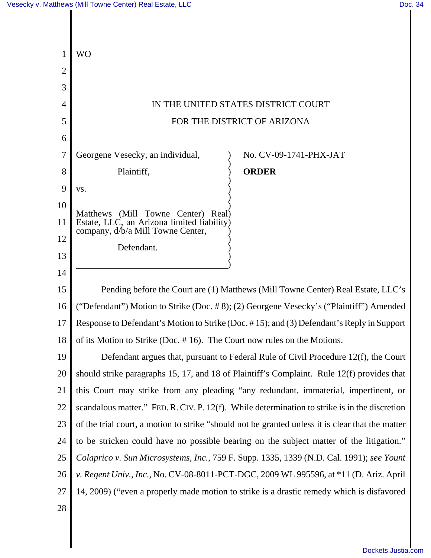| 1              | <b>WO</b>                                                                                                      |
|----------------|----------------------------------------------------------------------------------------------------------------|
| $\overline{2}$ |                                                                                                                |
| 3              |                                                                                                                |
| $\overline{4}$ | IN THE UNITED STATES DISTRICT COURT                                                                            |
| 5              | FOR THE DISTRICT OF ARIZONA                                                                                    |
| 6              |                                                                                                                |
| 7              | Georgene Vesecky, an individual,<br>No. CV-09-1741-PHX-JAT                                                     |
| 8              | Plaintiff,<br><b>ORDER</b>                                                                                     |
| 9              | VS.                                                                                                            |
| 10             | Real)                                                                                                          |
| 11             | Matthews (Mill Towne Center)<br>Estate, LLC, an Arizona limited liability<br>company, d/b/a Mill Towne Center, |
| 12             | Defendant.                                                                                                     |
| 13             |                                                                                                                |
| 14             |                                                                                                                |
| 15             | Pending before the Court are (1) Matthews (Mill Towne Center) Real Estate, LLC's                               |
| 16             | ("Defendant") Motion to Strike (Doc. #8); (2) Georgene Vesecky's ("Plaintiff") Amended                         |
| 17             | Response to Defendant's Motion to Strike (Doc. #15); and (3) Defendant's Reply in Support                      |
| 18             | of its Motion to Strike (Doc. $# 16$ ). The Court now rules on the Motions.                                    |
| 19             | Defendant argues that, pursuant to Federal Rule of Civil Procedure 12(f), the Court                            |
| 20             | should strike paragraphs 15, 17, and 18 of Plaintiff's Complaint. Rule 12(f) provides that                     |
| 21             | this Court may strike from any pleading "any redundant, immaterial, impertinent, or                            |
| 22             | scandalous matter." FED. R. CIV. P. 12(f). While determination to strike is in the discretion                  |
| 23             | of the trial court, a motion to strike "should not be granted unless it is clear that the matter               |
| 24             | to be stricken could have no possible bearing on the subject matter of the litigation."                        |
| 25             | Colaprico v. Sun Microsystems, Inc., 759 F. Supp. 1335, 1339 (N.D. Cal. 1991); see Yount                       |
| 26             | v. Regent Univ., Inc., No. CV-08-8011-PCT-DGC, 2009 WL 995596, at *11 (D. Ariz. April                          |
| 27             | 14, 2009) ("even a properly made motion to strike is a drastic remedy which is disfavored                      |
| 28             |                                                                                                                |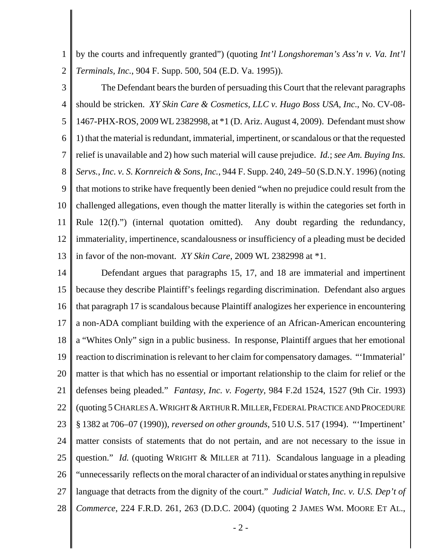1 2 by the courts and infrequently granted") (quoting *Int'l Longshoreman's Ass'n v. Va. Int'l Terminals, Inc.*, 904 F. Supp. 500, 504 (E.D. Va. 1995)).

3 4 5 6 7 8 9 10 11 12 13 The Defendant bears the burden of persuading this Court that the relevant paragraphs should be stricken. *XY Skin Care & Cosmetics, LLC v. Hugo Boss USA, Inc.*, No. CV-08- 1467-PHX-ROS, 2009 WL 2382998, at \*1 (D. Ariz. August 4, 2009). Defendant must show 1) that the material is redundant, immaterial, impertinent, or scandalous or that the requested relief is unavailable and 2) how such material will cause prejudice. *Id.*; *see Am. Buying Ins. Servs., Inc. v. S. Kornreich & Sons, Inc.*, 944 F. Supp. 240, 249–50 (S.D.N.Y. 1996) (noting that motions to strike have frequently been denied "when no prejudice could result from the challenged allegations, even though the matter literally is within the categories set forth in Rule 12(f).") (internal quotation omitted). Any doubt regarding the redundancy, immateriality, impertinence, scandalousness or insufficiency of a pleading must be decided in favor of the non-movant. *XY Skin Care*, 2009 WL 2382998 at \*1.

14 15 16 17 18 19 20 21 22 23 24 25 26 27 28 Defendant argues that paragraphs 15, 17, and 18 are immaterial and impertinent because they describe Plaintiff's feelings regarding discrimination. Defendant also argues that paragraph 17 is scandalous because Plaintiff analogizes her experience in encountering a non-ADA compliant building with the experience of an African-American encountering a "Whites Only" sign in a public business. In response, Plaintiff argues that her emotional reaction to discrimination is relevant to her claim for compensatory damages. "'Immaterial' matter is that which has no essential or important relationship to the claim for relief or the defenses being pleaded." *Fantasy, Inc. v. Fogerty*, 984 F.2d 1524, 1527 (9th Cir. 1993) (quoting 5 CHARLES A. WRIGHT & ARTHUR R. MILLER, FEDERAL PRACTICE AND PROCEDURE § 1382 at 706–07 (1990)), *reversed on other grounds*, 510 U.S. 517 (1994). "'Impertinent' matter consists of statements that do not pertain, and are not necessary to the issue in question." *Id.* (quoting WRIGHT & MILLER at 711). Scandalous language in a pleading "unnecessarily reflects on the moral character of an individual or states anything in repulsive language that detracts from the dignity of the court." *Judicial Watch, Inc. v. U.S. Dep't of Commerce*, 224 F.R.D. 261, 263 (D.D.C. 2004) (quoting 2 JAMES WM. MOORE ET AL.,